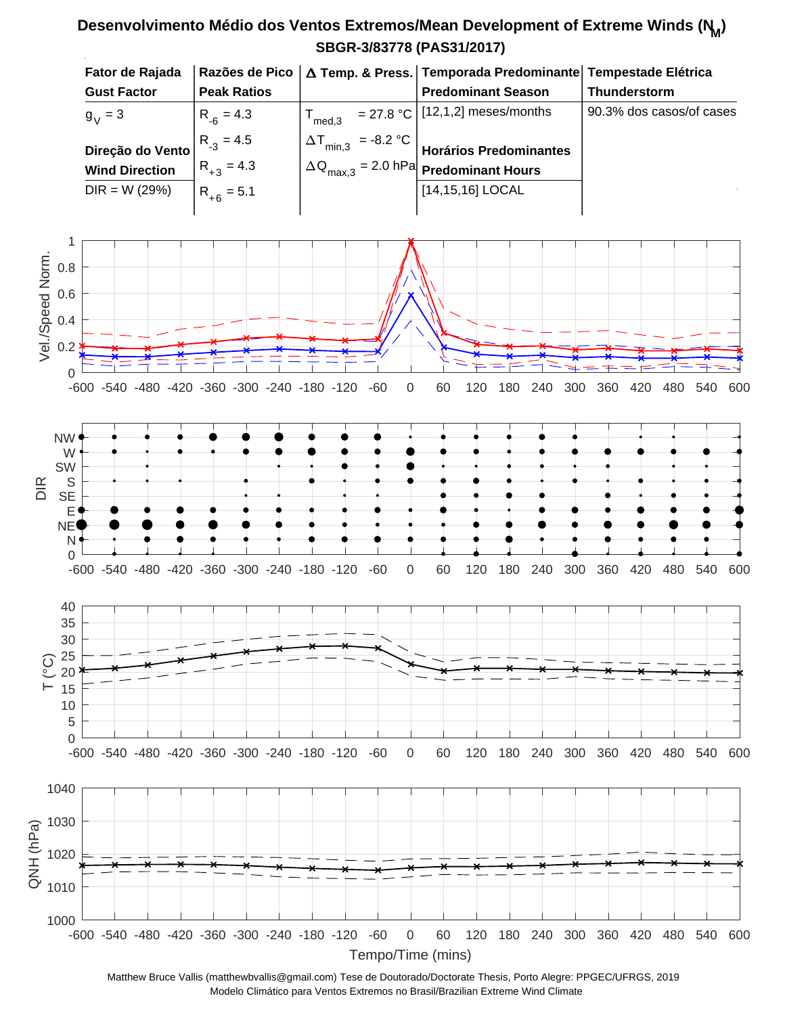## **SBGR-3/83778 (PAS31/2017) Desenvolvimento Médio dos Ventos Extremos/Mean Development of Extreme Winds (N<sup>M</sup> )**



Matthew Bruce Vallis (matthewbvallis@gmail.com) Tese de Doutorado/Doctorate Thesis, Porto Alegre: PPGEC/UFRGS, 2019 Modelo Climático para Ventos Extremos no Brasil/Brazilian Extreme Wind Climate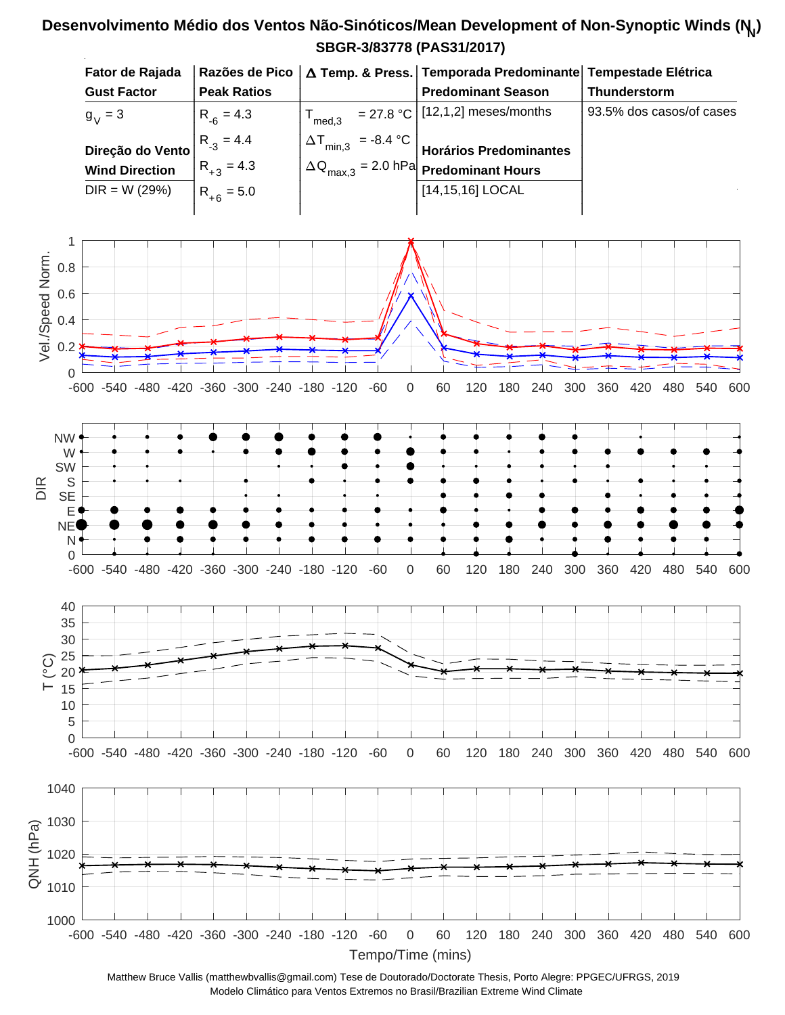## **SBGR-3/83778 (PAS31/2017) Desenvolvimento Médio dos Ventos Não-Sinóticos/Mean Development of Non-Synoptic Winds (N<sup>N</sup> )**



Matthew Bruce Vallis (matthewbvallis@gmail.com) Tese de Doutorado/Doctorate Thesis, Porto Alegre: PPGEC/UFRGS, 2019 Modelo Climático para Ventos Extremos no Brasil/Brazilian Extreme Wind Climate